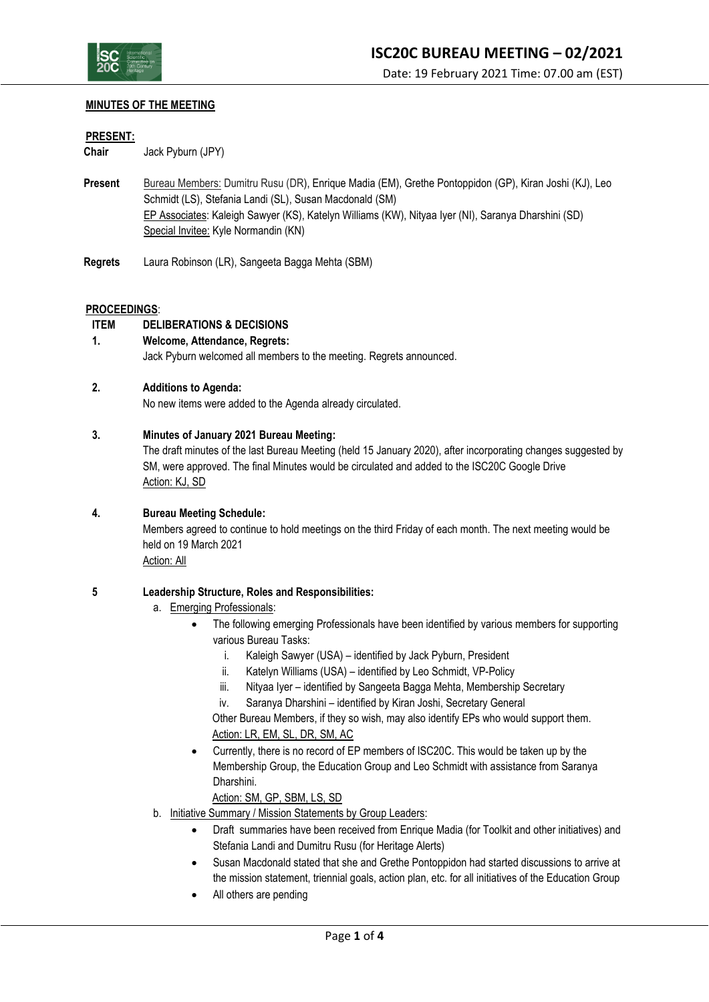

#### Date: 19 February 2021 Time: 07.00 am (EST)

# **MINUTES OF THE MEETING**

#### **PRESENT:**

**Chair** Jack Pyburn (JPY)

- **Present** Bureau Members: Dumitru Rusu (DR), Enrique Madia (EM), Grethe Pontoppidon (GP), Kiran Joshi (KJ), Leo Schmidt (LS), Stefania Landi (SL), Susan Macdonald (SM) EP Associates: Kaleigh Sawyer (KS), Katelyn Williams (KW), Nityaa Iyer (NI), Saranya Dharshini (SD) Special Invitee: Kyle Normandin (KN)
- **Regrets** Laura Robinson (LR), Sangeeta Bagga Mehta (SBM)

#### **PROCEEDINGS**:

# **ITEM DELIBERATIONS & DECISIONS**

# **1. Welcome, Attendance, Regrets:**

Jack Pyburn welcomed all members to the meeting. Regrets announced.

#### **2. Additions to Agenda:**

No new items were added to the Agenda already circulated.

#### **3. Minutes of January 2021 Bureau Meeting:**

The draft minutes of the last Bureau Meeting (held 15 January 2020), after incorporating changes suggested by SM, were approved. The final Minutes would be circulated and added to the ISC20C Google Drive Action: KJ, SD

# **4. Bureau Meeting Schedule:**

Members agreed to continue to hold meetings on the third Friday of each month. The next meeting would be held on 19 March 2021

Action: All

# **5 Leadership Structure, Roles and Responsibilities:**

- a. Emerging Professionals:
	- The following emerging Professionals have been identified by various members for supporting various Bureau Tasks:
		- i. Kaleigh Sawyer (USA) identified by Jack Pyburn, President
		- ii. Katelyn Williams (USA) identified by Leo Schmidt, VP-Policy
		- iii. Nityaa Iyer identified by Sangeeta Bagga Mehta, Membership Secretary
		- iv. Saranya Dharshini identified by Kiran Joshi, Secretary General

Other Bureau Members, if they so wish, may also identify EPs who would support them. Action: LR, EM, SL, DR, SM, AC

• Currently, there is no record of EP members of ISC20C. This would be taken up by the Membership Group, the Education Group and Leo Schmidt with assistance from Saranya Dharshini.

Action: SM, GP, SBM, LS, SD

- b. Initiative Summary / Mission Statements by Group Leaders:
	- Draft summaries have been received from Enrique Madia (for Toolkit and other initiatives) and Stefania Landi and Dumitru Rusu (for Heritage Alerts)
	- Susan Macdonald stated that she and Grethe Pontoppidon had started discussions to arrive at the mission statement, triennial goals, action plan, etc. for all initiatives of the Education Group
	- All others are pending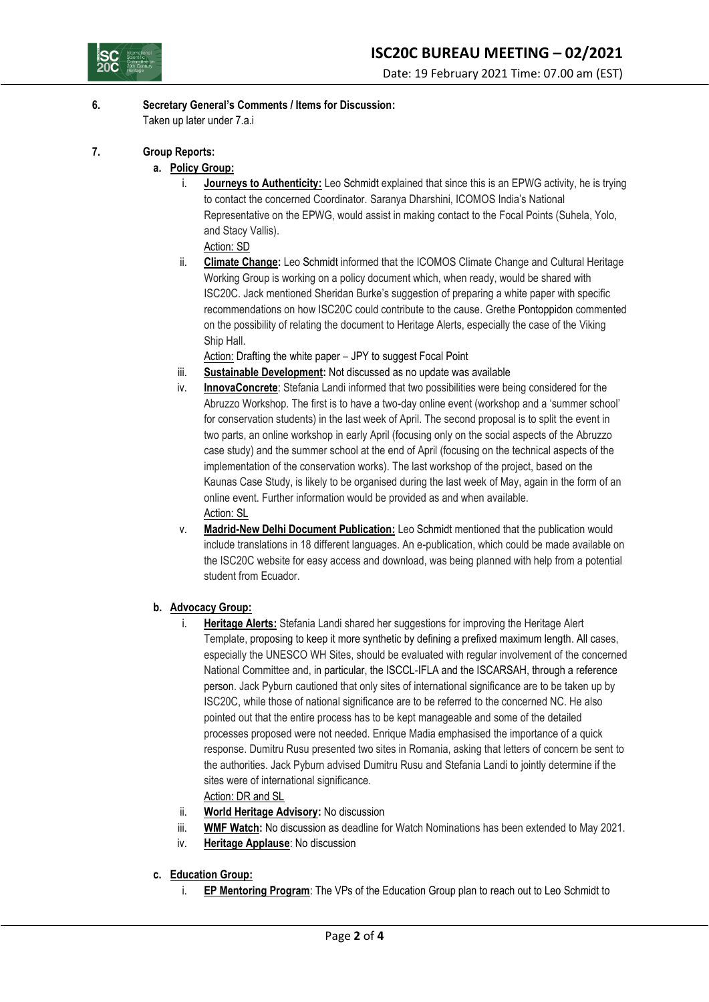

# **6. Secretary General's Comments / Items for Discussion:**

Taken up later under 7.a.i

- **7. Group Reports:**
	- **a. Policy Group:**
		- i. **Journeys to Authenticity:** Leo Schmidt explained that since this is an EPWG activity, he is trying to contact the concerned Coordinator. Saranya Dharshini, ICOMOS India's National Representative on the EPWG, would assist in making contact to the Focal Points (Suhela, Yolo, and Stacy Vallis).
			- Action: SD
		- ii. **Climate Change:** Leo Schmidt informed that the ICOMOS Climate Change and Cultural Heritage Working Group is working on a policy document which, when ready, would be shared with ISC20C. Jack mentioned Sheridan Burke's suggestion of preparing a white paper with specific recommendations on how ISC20C could contribute to the cause. Grethe Pontoppidon commented on the possibility of relating the document to Heritage Alerts, especially the case of the Viking Ship Hall.

Action: Drafting the white paper – JPY to suggest Focal Point

- iii. **Sustainable Development:** Not discussed as no update was available
- iv. **InnovaConcrete**: Stefania Landi informed that two possibilities were being considered for the Abruzzo Workshop. The first is to have a two-day online event (workshop and a 'summer school' for conservation students) in the last week of April. The second proposal is to split the event in two parts, an online workshop in early April (focusing only on the social aspects of the Abruzzo case study) and the summer school at the end of April (focusing on the technical aspects of the implementation of the conservation works). The last workshop of the project, based on the Kaunas Case Study, is likely to be organised during the last week of May, again in the form of an online event. Further information would be provided as and when available. Action: SL
- v. **Madrid-New Delhi Document Publication:** Leo Schmidt mentioned that the publication would include translations in 18 different languages. An e-publication, which could be made available on the ISC20C website for easy access and download, was being planned with help from a potential student from Ecuador.
- **b. Advocacy Group:**
	- i. **Heritage Alerts:** Stefania Landi shared her suggestions for improving the Heritage Alert Template, proposing to keep it more synthetic by defining a prefixed maximum length. All cases, especially the UNESCO WH Sites, should be evaluated with regular involvement of the concerned National Committee and, in particular, the ISCCL-IFLA and the ISCARSAH, through a reference person. Jack Pyburn cautioned that only sites of international significance are to be taken up by ISC20C, while those of national significance are to be referred to the concerned NC. He also pointed out that the entire process has to be kept manageable and some of the detailed processes proposed were not needed. Enrique Madia emphasised the importance of a quick response. Dumitru Rusu presented two sites in Romania, asking that letters of concern be sent to the authorities. Jack Pyburn advised Dumitru Rusu and Stefania Landi to jointly determine if the sites were of international significance.

Action: DR and SL

- ii. **World Heritage Advisory:** No discussion
- iii. **WMF Watch:** No discussion as deadline for Watch Nominations has been extended to May 2021.
- iv. **Heritage Applause**: No discussion
- **c. Education Group:**
	- i. **EP Mentoring Program**: The VPs of the Education Group plan to reach out to Leo Schmidt to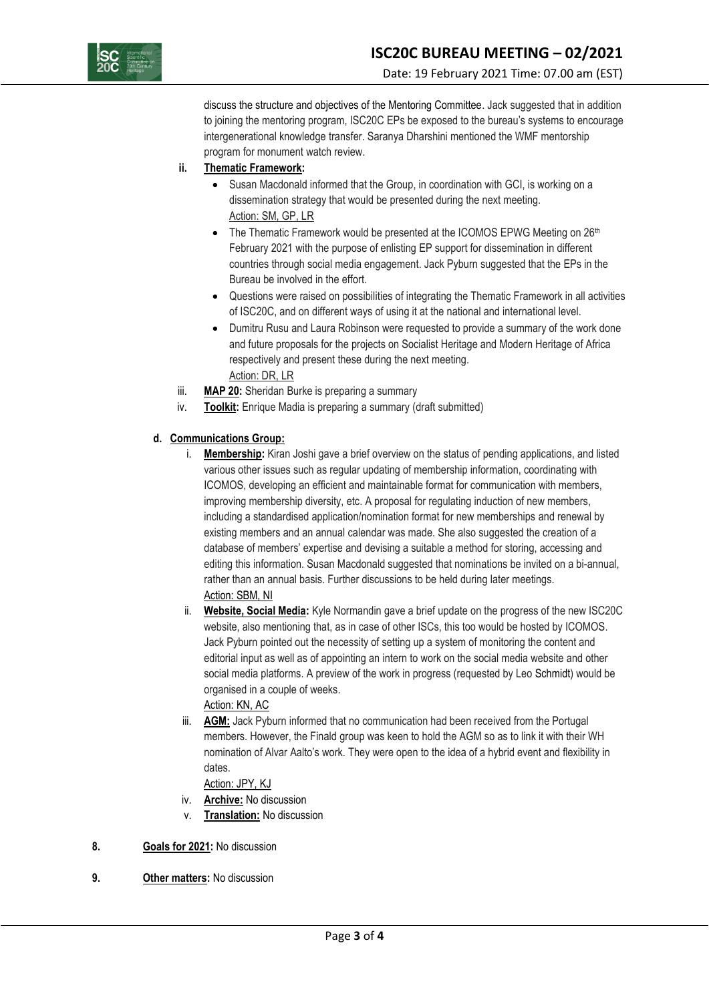

discuss the structure and objectives of the Mentoring Committee. Jack suggested that in addition to joining the mentoring program, ISC20C EPs be exposed to the bureau's systems to encourage intergenerational knowledge transfer. Saranya Dharshini mentioned the WMF mentorship program for monument watch review.

# **ii. Thematic Framework:**

- Susan Macdonald informed that the Group, in coordination with GCI, is working on a dissemination strategy that would be presented during the next meeting. Action: SM, GP, LR
- The Thematic Framework would be presented at the ICOMOS EPWG Meeting on 26<sup>th</sup> February 2021 with the purpose of enlisting EP support for dissemination in different countries through social media engagement. Jack Pyburn suggested that the EPs in the Bureau be involved in the effort.
- Questions were raised on possibilities of integrating the Thematic Framework in all activities of ISC20C, and on different ways of using it at the national and international level.
- Dumitru Rusu and Laura Robinson were requested to provide a summary of the work done and future proposals for the projects on Socialist Heritage and Modern Heritage of Africa respectively and present these during the next meeting. Action: DR, LR
- iii. **MAP 20:** Sheridan Burke is preparing a summary
- iv. **Toolkit:** Enrique Madia is preparing a summary (draft submitted)

# **d. Communications Group:**

- i. **Membership:** Kiran Joshi gave a brief overview on the status of pending applications, and listed various other issues such as regular updating of membership information, coordinating with ICOMOS, developing an efficient and maintainable format for communication with members, improving membership diversity, etc. A proposal for regulating induction of new members, including a standardised application/nomination format for new memberships and renewal by existing members and an annual calendar was made. She also suggested the creation of a database of members' expertise and devising a suitable a method for storing, accessing and editing this information. Susan Macdonald suggested that nominations be invited on a bi-annual, rather than an annual basis. Further discussions to be held during later meetings. Action: SBM, NI
- ii. **Website, Social Media:** Kyle Normandin gave a brief update on the progress of the new ISC20C website, also mentioning that, as in case of other ISCs, this too would be hosted by ICOMOS. Jack Pyburn pointed out the necessity of setting up a system of monitoring the content and editorial input as well as of appointing an intern to work on the social media website and other social media platforms. A preview of the work in progress (requested by Leo Schmidt) would be organised in a couple of weeks.

# Action: KN, AC

iii. **AGM:** Jack Pyburn informed that no communication had been received from the Portugal members. However, the Finald group was keen to hold the AGM so as to link it with their WH nomination of Alvar Aalto's work. They were open to the idea of a hybrid event and flexibility in dates.

# Action: JPY, KJ

- iv. **Archive:** No discussion
- v. **Translation:** No discussion

# **8. Goals for 2021:** No discussion

**9. Other matters:** No discussion